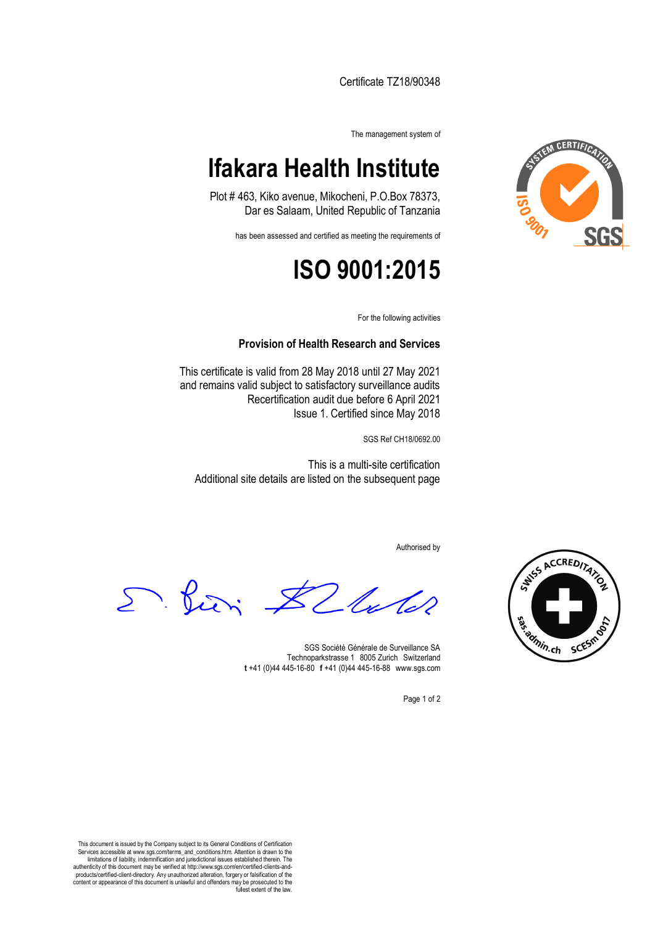Certificate TZ18/90348

The management system of

## **Ifakara Health Institute**

Plot # 463, Kiko avenue, Mikocheni, P.O.Box 78373, Dar es Salaam, United Republic of Tanzania

has been assessed and certified as meeting the requirements of

## **ISO 9001:2015**

For the following activities

#### **Provision of Health Research and Services**

This certificate is valid from 28 May 2018 until 27 May 2021 and remains valid subject to satisfactory surveillance audits Recertification audit due before 6 April 2021 Issue 1. Certified since May 2018

SGS Ref CH18/0692.00

This is a multi-site certification Additional site details are listed on the subsequent page

Authorised by

D. Pieri. 2 lu

SGS Société Générale de Surveillance SA Technoparkstrasse 1 8005 Zurich Switzerland **t** +41 (0)44 445-16-80□**f** +41 (0)44 445-16-88□www.sgs.com

Page 1 of 2